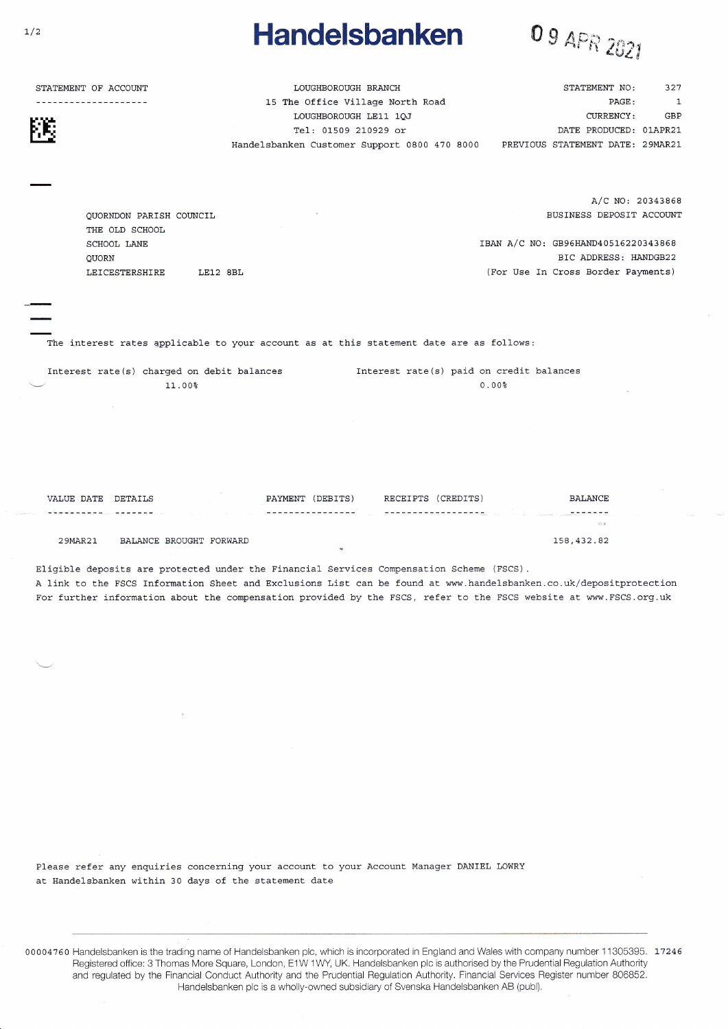## **Handelsbanken**



STATEMENT OF ACCOUNT

--------------------

STATEMENT NO: LOUGHBOROUGH BRANCH 15 The Office Village North Road LOUGHBOROUGH LE11 1QJ Tel: 01509 210929 or DATE PRODUCED: 01APR21 PREVIOUS STATEMENT DATE: 29MAR21 Handelsbanken Customer Support 0800 470 8000

> $A/C$  NO: 20343868 BUSINESS DEPOSIT ACCOUNT

PAGE -

CURRENCY:

327

 $\overline{1}$ 

GBP

IBAN A/C NO: GB96HAND40516220343868 BIC ADDRESS: HANDGB22 (For Use In Cross Border Payments)

QUORNDON PARISH COUNCIL THE OLD SCHOOL SCHOOL LANE QUORN LEICESTERSHIRE LE12 8BL

The interest rates applicable to your account as at this statement date are as follows:

Interest rate(s) charged on debit balances Interest rate(s) paid on credit balances 11.00%  $0.00%$ 

VALUE DATE DETAILS PAYMENT (DEBITS) RECEIPTS (CREDITS) **BALANCE** -----------------------------------BALANCE BROUGHT FORWARD 158,432.82 29MAR21

Eligible deposits are protected under the Financial Services Compensation Scheme (FSCS). A link to the FSCS Information Sheet and Exclusions List can be found at www.handelsbanken.co.uk/depositprotection For further information about the compensation provided by the FSCS, refer to the FSCS website at www.FSCS.org.uk

Please refer any enquiries concerning your account to your Account Manager DANIEL LOWRY at Handelsbanken within 30 days of the statement date

00004760 Handelsbanken is the trading name of Handelsbanken plc, which is incorporated in England and Wales with company number 11305395. 17246 Registered office: 3 Thomas More Square, London, E1W 1WY, UK. Handelsbanken plc is authorised by the Prudential Regulation Authority and regulated by the Financial Conduct Authority and the Prudential Regulation Authority. Financial Services Register number 806852. Handelsbanken plc is a wholly-owned subsidiary of Svenska Handelsbanken AB (publ).